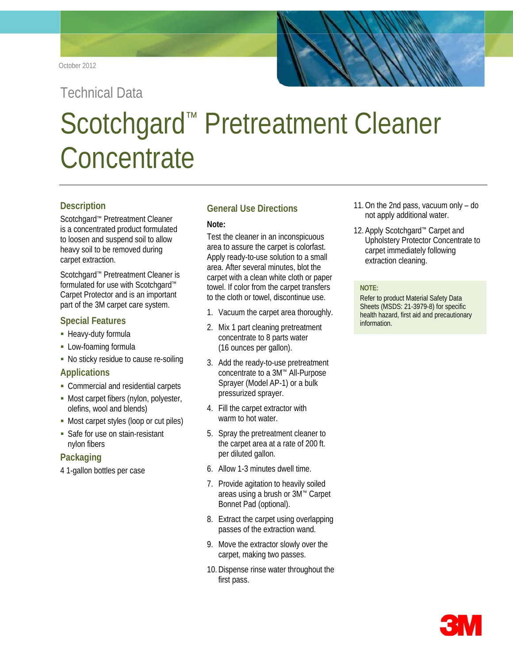### October 2012

Technical Data

# Scotchgard™ Pretreatment Cleaner **Concentrate**

# **Description**

Scotchgard™ Pretreatment Cleaner is a concentrated product formulated to loosen and suspend soil to allow heavy soil to be removed during carpet extraction.

Scotchgard™ Pretreatment Cleaner is formulated for use with Scotchgard™ Carpet Protector and is an important part of the 3M carpet care system.

# **Special Features**

- **-** Heavy-duty formula
- **-** Low-foaming formula
- No sticky residue to cause re-soiling

## **Applications**

- Commercial and residential carpets
- Most carpet fibers (nylon, polyester, olefins, wool and blends)
- Most carpet styles (loop or cut piles)
- **Safe for use on stain-resistant** nylon fibers

# **Packaging**

4 1-gallon bottles per case

# **General Use Directions**

## **Note:**

Test the cleaner in an inconspicuous area to assure the carpet is colorfast. Apply ready-to-use solution to a small area. After several minutes, blot the carpet with a clean white cloth or paper towel. If color from the carpet transfers to the cloth or towel, discontinue use.

- 1. Vacuum the carpet area thoroughly.
- 2. Mix 1 part cleaning pretreatment concentrate to 8 parts water (16 ounces per gallon).
- 3. Add the ready-to-use pretreatment concentrate to a 3M™ All-Purpose Sprayer (Model AP-1) or a bulk pressurized sprayer.
- 4. Fill the carpet extractor with warm to hot water.
- 5. Spray the pretreatment cleaner to the carpet area at a rate of 200 ft. per diluted gallon.
- 6. Allow 1-3 minutes dwell time.
- 7. Provide agitation to heavily soiled areas using a brush or 3M™ Carpet Bonnet Pad (optional).
- 8. Extract the carpet using overlapping passes of the extraction wand.
- 9. Move the extractor slowly over the carpet, making two passes.
- 10.Dispense rinse water throughout the first pass.
- 11.On the 2nd pass, vacuum only do not apply additional water.
- 12. Apply Scotchgard™ Carpet and Upholstery Protector Concentrate to carpet immediately following extraction cleaning.

#### **NOTE:**

Refer to product Material Safety Data Sheets (MSDS: 21-3979-8) for specific health hazard, first aid and precautionary information.